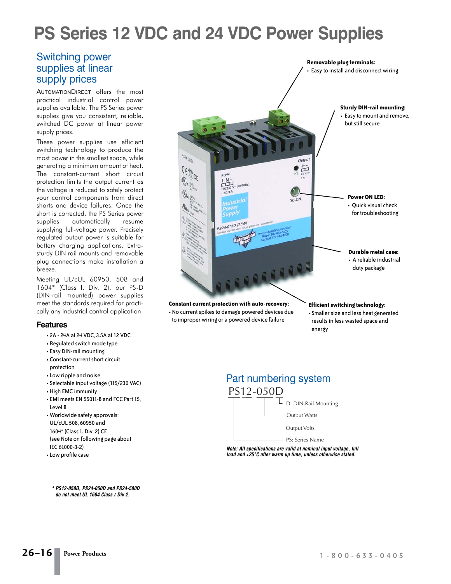## **PS Series 12 VDC and 24 VDC Power Supplies**

## Switching power supplies at linear supply prices

AUTOMATIONDIRECT offers the most practical industrial control power supplies available. The PS Series power supplies give you consistent, reliable, switched DC power at linear power supply prices.

These power supplies use efficient switching technology to produce the most power in the smallest space, while generating a minimum amount of heat. The constant-current short circuit protection limits the output current as the voltage is reduced to safely protect your control components from direct shorts and device failures. Once the short is corrected, the PS Series power supplies automatically resume supplying full-voltage power. Precisely regulated output power is suitable for battery charging applications. Extrasturdy DIN rail mounts and removable plug connections make installation a breeze.

Meeting UL/cUL 60950, 508 and 1604\* (Class I, Div. 2), our PS-D (DIN-rail mounted) power supplies meet the standards required for practically any industrial control application.

#### **Features**

- 2A 24A at 24 VDC, 3.5A at 12 VDC
- Regulated switch mode type
- Easy DIN-rail mounting
- Constant-current short circuit protection
- Low ripple and noise
- Selectable input voltage (115/230 VAC)
- High EMC immunity
- EMI meets EN 55011-B and FCC Part 15, Level B
- Worldwide safety approvals: UL/cUL 508, 60950 and 1604\* (Class I, Div. 2) CE (see Note on following page about IEC 61000-3-2)
- Low profile case

**\* PS12-050D, PS24-050D and PS24-500D do not meet UL 1604 Class** *I* **Div 2.**



**Constant current protection with auto-recovery:** • No current spikes to damage powered devices due to improper wiring or a powered device failure

**Efficient switching technology:** • Smaller size and less heat generated

results in less wasted space and energy



**Note: All specifications are valid at nominal input voltage, full load and +25°C after warm up time, unless otherwise stated.**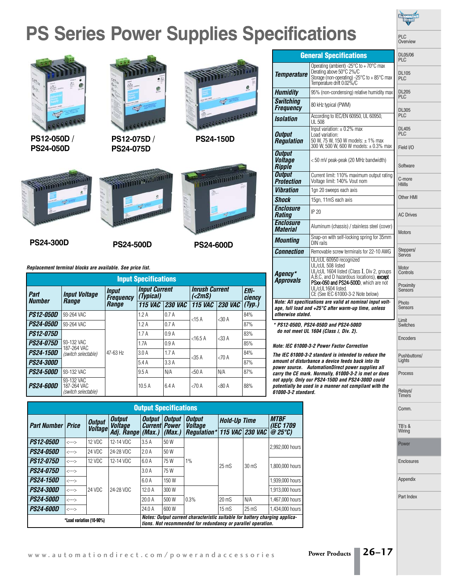# **PS Series Power Supplies Specifications**



**PS12-050D / PS24-050D**



**PS12-075D / PS24-075D**



**PS24-150D**

**STATE OF PRINT** 









| <b>Input Specifications</b> |                                                  |                                                  |                                   |                |                                               |                 |                 |
|-----------------------------|--------------------------------------------------|--------------------------------------------------|-----------------------------------|----------------|-----------------------------------------------|-----------------|-----------------|
| Part<br><b>Number</b>       | <b>Input Voltage</b><br>Range                    | <i><b>Input</b></i><br><b>Frequency</b><br>Range | <b>Input Current</b><br>(Typical) |                | <b>Inrush Current</b><br>$\left( <2mS\right)$ |                 | Effi-<br>ciencv |
|                             |                                                  |                                                  | <b>115 VAC</b>                    | <b>230 VAC</b> | 115 $VAC$                                     | <b>230 VAC</b>  | (Typ.)          |
| <b>PS12-050D</b>            | 93-264 VAC<br>93-264 VAC                         | 47-63 Hz                                         | 1.2A                              | 0.7A           | $<$ 15 A                                      | $<30 \text{ A}$ | 84%             |
| <b>PS24-050D</b>            |                                                  |                                                  | 1.2A                              | 0.7A           |                                               |                 | 87%             |
| <i>PS12-075D</i>            |                                                  |                                                  | 1.7A                              | 0.9A           | $<$ 16.5 A                                    | $<$ 33 A        | 83%             |
| <b>PS24-075D</b>            | 93-132 VAC<br>187-264 VAC                        |                                                  | 1.7A                              | 0.9A           |                                               |                 | 85%             |
| <b>PS24-150D</b>            | (switch selectable)                              |                                                  | 3.0A                              | 1.7A           | $<$ 35 A                                      | <70A            | 84%             |
| <b>PS24-300D</b>            |                                                  |                                                  | 5.4A                              | 3.3A           |                                               |                 | 87%             |
| <b>PS24-500D</b>            | 93-132 VAC                                       |                                                  | 9.5A                              | N/A            | <50A                                          | N/A             | 87%             |
| <i><b>PS24-600D</b></i>     | 93-132 VAC<br>187-264 VAC<br>(switch selectable) |                                                  | 10.5A                             | 6.4A           | $<70$ A                                       | $<80$ A         | 88%             |

| <b>Output Specifications</b> |                                                    |                  |                                 |                                        |                               |                                                                                                                                             |                     |                        |                                 |
|------------------------------|----------------------------------------------------|------------------|---------------------------------|----------------------------------------|-------------------------------|---------------------------------------------------------------------------------------------------------------------------------------------|---------------------|------------------------|---------------------------------|
| <b>Part Number   Price</b>   |                                                    | <b>Output</b>    | <b>Output</b><br><b>Voltage</b> | <b>Output</b><br><i><b>Current</b></i> | <b>Output</b><br><b>Power</b> | <b>Output</b><br><i><b>Voltage</b></i>                                                                                                      | <b>Hold-Up Time</b> |                        | <b>MTBF</b><br><b>(IEC 1709</b> |
|                              |                                                    | <b>Voltage</b>   | Adj. Range                      | (Max.)                                 | (Max.)                        | <b>Regulation*</b>                                                                                                                          |                     | <b>115 VAC 230 VAC</b> | @25°C                           |
| <b>PS12-050D</b>             | $\left\langle \rightarrow\rightarrow\right\rangle$ | 12 VDC           | 12-14 VDC                       | 3.5A                                   | 50 W                          | 1%                                                                                                                                          | $25 \text{ mS}$     | $30 \text{ mS}$        | 2.992.000 hours                 |
| <i><b>PS24-050D</b></i>      | $\leftarrow$ $\rightarrow$                         | 24 VDC           | 24-28 VDC                       | 2.0A                                   | 50 W                          |                                                                                                                                             |                     |                        |                                 |
| <i><b>PS12-075D</b></i>      | $\leftarrow$ $\rightarrow$                         | $12 \text{ VDC}$ | 12-14 VDC                       | 6.0A                                   | 75 W                          |                                                                                                                                             |                     |                        | 1.800,000 hours                 |
| <i><b>PS24-075D</b></i>      | $\leftarrow$ $\rightarrow$                         | 24 VDC           | 24-28 VDC                       | 3.0A                                   | 75 W                          |                                                                                                                                             |                     |                        |                                 |
| <i><b>PS24-150D</b></i>      | $\left\langle \rightarrow\rightarrow\right\rangle$ |                  |                                 | 6.0A                                   | 150 W                         |                                                                                                                                             |                     |                        | 1.939,000 hours                 |
| <i><b>PS24-300D</b></i>      | $\leftarrow$                                       |                  |                                 | 12.0A                                  | 300 W                         | 0.3%                                                                                                                                        |                     |                        | 1.913.000 hours                 |
| <i><b>PS24-500D</b></i>      | $\left\langle \rightarrow\rightarrow\right\rangle$ |                  |                                 | 20.0A                                  | 500 W                         |                                                                                                                                             | $20 \text{ mS}$     | N/A                    | 1.467.000 hours                 |
| <i><b>PS24-600D</b></i>      | $\left\langle \rightarrow\rightarrow\right\rangle$ |                  |                                 | 24.0A                                  | 600 W                         |                                                                                                                                             | $15 \text{ mS}$     | $25 \text{ mS}$        | 1.434,000 hours                 |
|                              | *Load variation (10-90%)                           |                  |                                 |                                        |                               | Notes: Output current characteristic suitable for battery charging applica-<br>tions. Not recommended for redundancy or parallel operation. |                     |                        |                                 |

|                                                                                                                                       |                                                                                                                                                                     | Overview                    |  |
|---------------------------------------------------------------------------------------------------------------------------------------|---------------------------------------------------------------------------------------------------------------------------------------------------------------------|-----------------------------|--|
|                                                                                                                                       | <b>General Specifications</b>                                                                                                                                       | DL05/06<br>PI C             |  |
| <b>Temperature</b>                                                                                                                    | Operating (ambient) -25°C to + 70°C max<br>Derating above 50°C 2%/C<br>Storage (non-operating) -25 $\degree$ C to + 85 $\degree$ C max<br>Temperature drift 0.02%/C | <b>DL105</b><br>PIC         |  |
| <b>Humidity</b>                                                                                                                       | 95% (non-condensing) relative humidity max                                                                                                                          | <b>DL205</b><br>PIC         |  |
| <b>Switching</b><br>Frequency                                                                                                         | 80 kHz typical (PWM)                                                                                                                                                | <b>DL305</b>                |  |
| <b>Isolation</b>                                                                                                                      | According to IEC/EN 60950, UL 60950.<br>UL 508                                                                                                                      | PLC                         |  |
| <b>Output</b><br><b>Regulation</b>                                                                                                    | Input variation: $\pm$ 0.2% max<br>Load variation:<br>50 W, 75 W, 150 W models: ± 1% max                                                                            | <b>DL405</b><br>PLC         |  |
| <b>Output</b><br><b><i>Voltage</i></b><br>Ripple                                                                                      | 300 W, 500 W, 600 W models: ± 0.3% max<br><50 mV peak-peak (20 MHz bandwidth)                                                                                       | Field I/O<br>Software       |  |
| <b>Output</b><br><b>Protection</b>                                                                                                    | Current limit: 110% maximum output rating<br>Voltage limit: 140% Vout nom                                                                                           | C-more<br><b>HMIs</b>       |  |
| <b><i><u>Vibration</u></i></b>                                                                                                        | 1qn 20 sweeps each axis                                                                                                                                             |                             |  |
| <b>Shock</b>                                                                                                                          | 15gn, 11mS each axis                                                                                                                                                | Other HMI                   |  |
| Enclosure<br><b>Rating</b>                                                                                                            | IP 20                                                                                                                                                               | <b>AC Drives</b>            |  |
| <i><b>Enclosure</b></i><br><b>Material</b>                                                                                            | Aluminum (chassis) / stainless steel (cover)                                                                                                                        | <b>Motors</b>               |  |
| <b>Mounting</b>                                                                                                                       | Snap-on with self-locking spring for 35mm<br>DIN rails                                                                                                              |                             |  |
| <b>Connection</b>                                                                                                                     | Removable screw terminals for 22-10 AWG                                                                                                                             | Steppers/<br>Servos         |  |
| Agency*<br><b>Approvals</b>                                                                                                           | UL/cUL 60950 recognized<br>UL/cUL 508 listed<br>UL/cUL 1604 listed (Class I, Div 2, groups<br>A, B, C, and D hazardous locations), except                           | Motor<br>Controls           |  |
|                                                                                                                                       | PSxx-050 and PS24-500D, which are not<br>UL/cUL1604 listed.<br>CE (See IEC 61000-3-2 Note below)                                                                    | Proximity<br><b>Sensors</b> |  |
| Note: All specifications are valid at nominal input volt-<br>age, full load and +25°C after warm-up time, unless<br>otherwise stated. | Photo<br><b>Sensors</b>                                                                                                                                             |                             |  |
| * PS12-050D, PS24-050D and PS24-500D<br>do not meet UL 1604 (Class I, Div. 2).                                                        | Limit<br>Switches                                                                                                                                                   |                             |  |
| Note: IEC 61000-3-2 Power Factor Correction                                                                                           | Encoders                                                                                                                                                            |                             |  |
|                                                                                                                                       |                                                                                                                                                                     |                             |  |

 $PIC$ 

**The IEC 61000-3-2 standard is intended to reduce the amount of disturbance a device feeds back into its power source. AutomationDirect power supplies all carry the CE mark. Normally, 61000-3-2 is met or does not apply. Only our PS24-150D and PS24-300D could potentially be used in a manner not compliant with the 61000-3-2 standard.**

Pushbuttons/ Lights

Process

Relays/ Timers Comm.

TB's & Wiring

Power

Enclosures

Appendix

Part Index